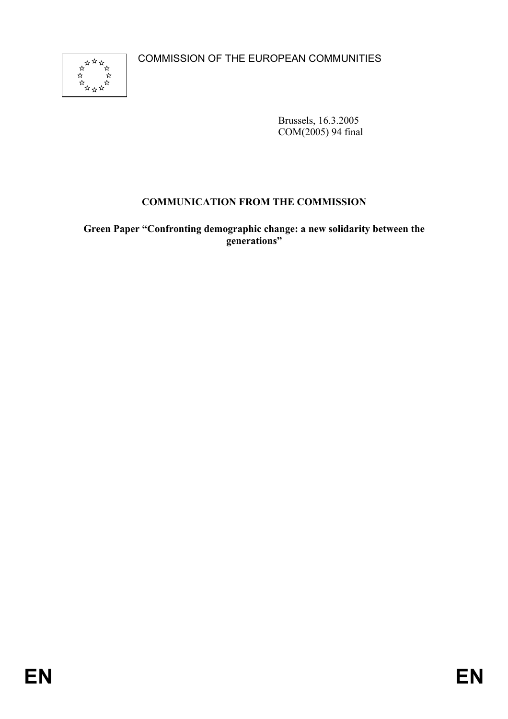COMMISSION OF THE EUROPEAN COMMUNITIES



Brussels, 16.3.2005 COM(2005) 94 final

## **COMMUNICATION FROM THE COMMISSION**

**Green Paper "Confronting demographic change: a new solidarity between the generations"**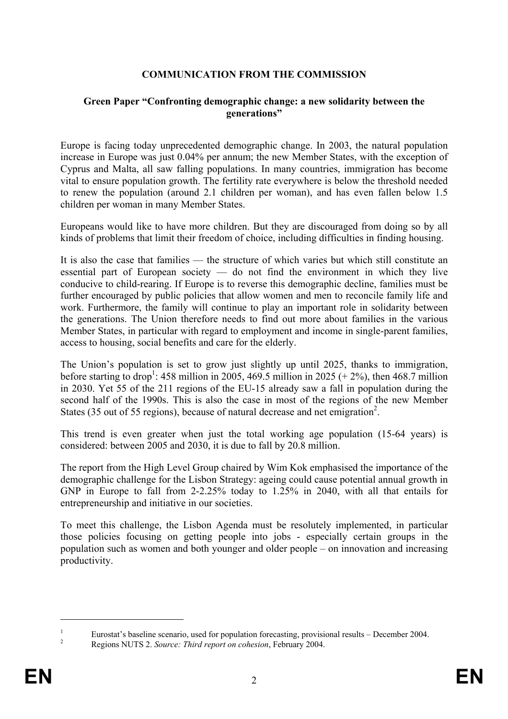### **COMMUNICATION FROM THE COMMISSION**

#### **Green Paper "Confronting demographic change: a new solidarity between the generations"**

Europe is facing today unprecedented demographic change. In 2003, the natural population increase in Europe was just 0.04% per annum; the new Member States, with the exception of Cyprus and Malta, all saw falling populations. In many countries, immigration has become vital to ensure population growth. The fertility rate everywhere is below the threshold needed to renew the population (around 2.1 children per woman), and has even fallen below 1.5 children per woman in many Member States.

Europeans would like to have more children. But they are discouraged from doing so by all kinds of problems that limit their freedom of choice, including difficulties in finding housing.

It is also the case that families — the structure of which varies but which still constitute an essential part of European society  $-$  do not find the environment in which they live conducive to child-rearing. If Europe is to reverse this demographic decline, families must be further encouraged by public policies that allow women and men to reconcile family life and work. Furthermore, the family will continue to play an important role in solidarity between the generations. The Union therefore needs to find out more about families in the various Member States, in particular with regard to employment and income in single-parent families, access to housing, social benefits and care for the elderly.

The Union's population is set to grow just slightly up until 2025, thanks to immigration, before starting to drop<sup>1</sup>: 458 million in 2005, 469.5 million in 2025  $(+2%)$ , then 468.7 million in 2030. Yet 55 of the 211 regions of the EU-15 already saw a fall in population during the second half of the 1990s. This is also the case in most of the regions of the new Member States (35 out of 55 regions), because of natural decrease and net emigration<sup>2</sup>.

This trend is even greater when just the total working age population (15-64 years) is considered: between 2005 and 2030, it is due to fall by 20.8 million.

The report from the High Level Group chaired by Wim Kok emphasised the importance of the demographic challenge for the Lisbon Strategy: ageing could cause potential annual growth in GNP in Europe to fall from 2-2.25% today to 1.25% in 2040, with all that entails for entrepreneurship and initiative in our societies.

To meet this challenge, the Lisbon Agenda must be resolutely implemented, in particular those policies focusing on getting people into jobs - especially certain groups in the population such as women and both younger and older people – on innovation and increasing productivity.

1

<sup>1</sup> Eurostat's baseline scenario, used for population forecasting, provisional results – December 2004.

Regions NUTS 2. *Source: Third report on cohesion*, February 2004.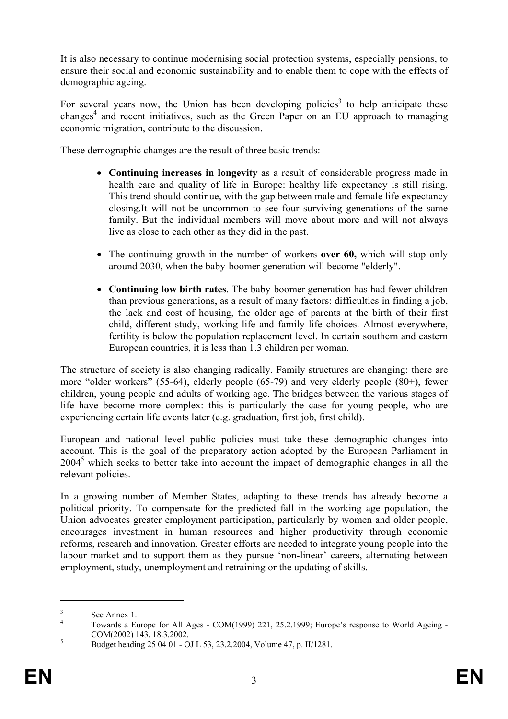It is also necessary to continue modernising social protection systems, especially pensions, to ensure their social and economic sustainability and to enable them to cope with the effects of demographic ageing.

For several years now, the Union has been developing policies<sup>3</sup> to help anticipate these changes<sup>4</sup> and recent initiatives, such as the Green Paper on an EU approach to managing economic migration, contribute to the discussion.

These demographic changes are the result of three basic trends:

- **Continuing increases in longevity** as a result of considerable progress made in health care and quality of life in Europe: healthy life expectancy is still rising. This trend should continue, with the gap between male and female life expectancy closing.It will not be uncommon to see four surviving generations of the same family. But the individual members will move about more and will not always live as close to each other as they did in the past.
- The continuing growth in the number of workers **over 60,** which will stop only around 2030, when the baby-boomer generation will become "elderly".
- **Continuing low birth rates**. The baby-boomer generation has had fewer children than previous generations, as a result of many factors: difficulties in finding a job, the lack and cost of housing, the older age of parents at the birth of their first child, different study, working life and family life choices. Almost everywhere, fertility is below the population replacement level. In certain southern and eastern European countries, it is less than 1.3 children per woman.

The structure of society is also changing radically. Family structures are changing: there are more "older workers" (55-64), elderly people (65-79) and very elderly people (80+), fewer children, young people and adults of working age. The bridges between the various stages of life have become more complex: this is particularly the case for young people, who are experiencing certain life events later (e.g. graduation, first job, first child).

European and national level public policies must take these demographic changes into account. This is the goal of the preparatory action adopted by the European Parliament in 2004<sup>5</sup> which seeks to better take into account the impact of demographic changes in all the relevant policies.

In a growing number of Member States, adapting to these trends has already become a political priority. To compensate for the predicted fall in the working age population, the Union advocates greater employment participation, particularly by women and older people, encourages investment in human resources and higher productivity through economic reforms, research and innovation. Greater efforts are needed to integrate young people into the labour market and to support them as they pursue 'non-linear' careers, alternating between employment, study, unemployment and retraining or the updating of skills.

1

<sup>3</sup> See Annex 1.

<sup>4</sup> Towards a Europe for All Ages - COM(1999) 221, 25.2.1999; Europe's response to World Ageing -  $COM(2002)$  143, 18.3.2002.

Budget heading 25 04 01 - OJ L 53, 23.2.2004, Volume 47, p. II/1281.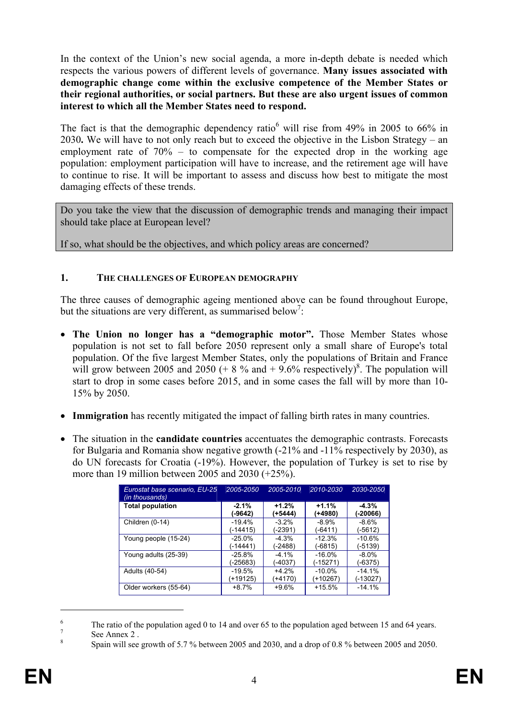In the context of the Union's new social agenda, a more in-depth debate is needed which respects the various powers of different levels of governance. **Many issues associated with demographic change come within the exclusive competence of the Member States or their regional authorities, or social partners. But these are also urgent issues of common interest to which all the Member States need to respond.** 

The fact is that the demographic dependency ratio<sup>6</sup> will rise from 49% in 2005 to 66% in 2030**.** We will have to not only reach but to exceed the objective in the Lisbon Strategy – an employment rate of 70% – to compensate for the expected drop in the working age population: employment participation will have to increase, and the retirement age will have to continue to rise. It will be important to assess and discuss how best to mitigate the most damaging effects of these trends.

Do you take the view that the discussion of demographic trends and managing their impact should take place at European level?

If so, what should be the objectives, and which policy areas are concerned?

#### **1. THE CHALLENGES OF EUROPEAN DEMOGRAPHY**

The three causes of demographic ageing mentioned above can be found throughout Europe, but the situations are very different, as summarised below<sup>7</sup>:

- **The Union no longer has a "demographic motor".** Those Member States whose population is not set to fall before 2050 represent only a small share of Europe's total population. Of the five largest Member States, only the populations of Britain and France will grow between 2005 and 2050  $(+ 8\%$  and  $+ 9.6\%$  respectively)<sup>8</sup>. The population will start to drop in some cases before 2015, and in some cases the fall will by more than 10- 15% by 2050.
- **Immigration** has recently mitigated the impact of falling birth rates in many countries.
- The situation in the **candidate countries** accentuates the demographic contrasts. Forecasts for Bulgaria and Romania show negative growth (-21% and -11% respectively by 2030), as do UN forecasts for Croatia (-19%). However, the population of Turkey is set to rise by more than 19 million between 2005 and 2030 (+25%).

| Eurostat base scenario, EU-25<br>(in thousands) | 2005-2050 | 2005-2010 | 2010-2030 | 2030-2050 |
|-------------------------------------------------|-----------|-----------|-----------|-----------|
| <b>Total population</b>                         | $-2.1%$   | $+1.2%$   | $+1.1%$   | $-4.3%$   |
|                                                 | (-9642)   | (+5444)   | (+4980)   | (-20066)  |
| Children (0-14)                                 | $-19.4%$  | $-3.2%$   | $-8.9%$   | $-8.6%$   |
|                                                 | (-14415)  | (-2391)   | $(-6411)$ | $(-5612)$ |
| Young people (15-24)                            | $-25.0\%$ | $-4.3%$   | $-12.3%$  | $-10.6%$  |
|                                                 | (-14441)  | (-2488)   | $(-6815)$ | (-5139)   |
| Young adults (25-39)                            | $-25.8%$  | $-4.1%$   | $-16.0%$  | $-8.0\%$  |
|                                                 | (-25683)  | (-4037)   | (-15271)  | (-6375)   |
| Adults (40-54)                                  | $-19.5%$  | $+4.2%$   | $-10.0\%$ | $-14.1%$  |
|                                                 | (+19125)  | (+4170)   | (+10267)  | (-13027)  |
| Older workers (55-64)                           | $+8.7%$   | $+9.6%$   | $+15.5%$  | $-14.1%$  |

<sup>6</sup> The ratio of the population aged 0 to 14 and over 65 to the population aged between 15 and 64 years.

<u>.</u>

<sup>7</sup> See Annex 2 .

<sup>8</sup> Spain will see growth of 5.7 % between 2005 and 2030, and a drop of 0.8 % between 2005 and 2050.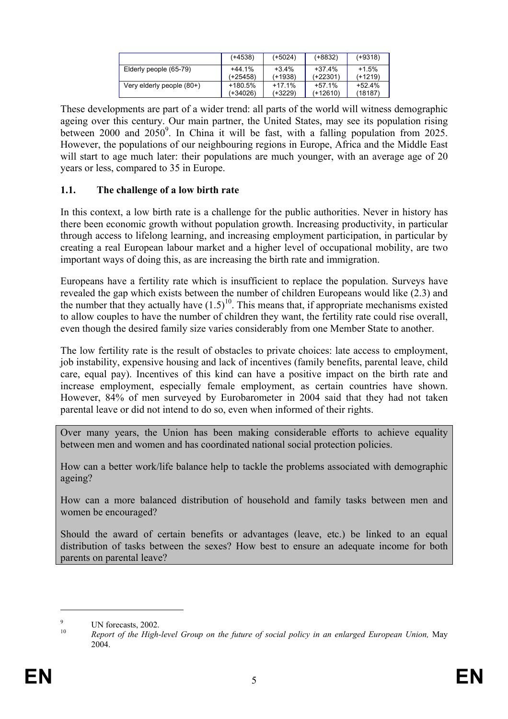|                           | (+4538)    | $(+5024)$ | $(+8832)$  | $(+9318)$ |
|---------------------------|------------|-----------|------------|-----------|
| Elderly people (65-79)    | $+44.1%$   | $+3.4%$   | $+37.4%$   | $+1.5%$   |
|                           | $(+25458)$ | (+1938)   | $(+22301)$ | $(+1219)$ |
| Very elderly people (80+) | +180.5%    | $+17.1%$  | $+57.1%$   | $+52.4%$  |
|                           | (+34026)   | (+3229)   | $(+12610)$ | (18187)   |

These developments are part of a wider trend: all parts of the world will witness demographic ageing over this century. Our main partner, the United States, may see its population rising between 2000 and  $2050^9$ . In China it will be fast, with a falling population from 2025. However, the populations of our neighbouring regions in Europe, Africa and the Middle East will start to age much later: their populations are much younger, with an average age of 20 years or less, compared to 35 in Europe.

### **1.1. The challenge of a low birth rate**

In this context, a low birth rate is a challenge for the public authorities. Never in history has there been economic growth without population growth. Increasing productivity, in particular through access to lifelong learning, and increasing employment participation, in particular by creating a real European labour market and a higher level of occupational mobility, are two important ways of doing this, as are increasing the birth rate and immigration.

Europeans have a fertility rate which is insufficient to replace the population. Surveys have revealed the gap which exists between the number of children Europeans would like (2.3) and the number that they actually have  $(1.5)^{10}$ . This means that, if appropriate mechanisms existed to allow couples to have the number of children they want, the fertility rate could rise overall, even though the desired family size varies considerably from one Member State to another.

The low fertility rate is the result of obstacles to private choices: late access to employment, job instability, expensive housing and lack of incentives (family benefits, parental leave, child care, equal pay). Incentives of this kind can have a positive impact on the birth rate and increase employment, especially female employment, as certain countries have shown. However, 84% of men surveyed by Eurobarometer in 2004 said that they had not taken parental leave or did not intend to do so, even when informed of their rights.

Over many years, the Union has been making considerable efforts to achieve equality between men and women and has coordinated national social protection policies.

How can a better work/life balance help to tackle the problems associated with demographic ageing?

How can a more balanced distribution of household and family tasks between men and women be encouraged?

Should the award of certain benefits or advantages (leave, etc.) be linked to an equal distribution of tasks between the sexes? How best to ensure an adequate income for both parents on parental leave?

<u>.</u>

 $\alpha$ <sup>9</sup> UN forecasts, 2002.

<sup>10</sup> *Report of the High-level Group on the future of social policy in an enlarged European Union,* May 2004.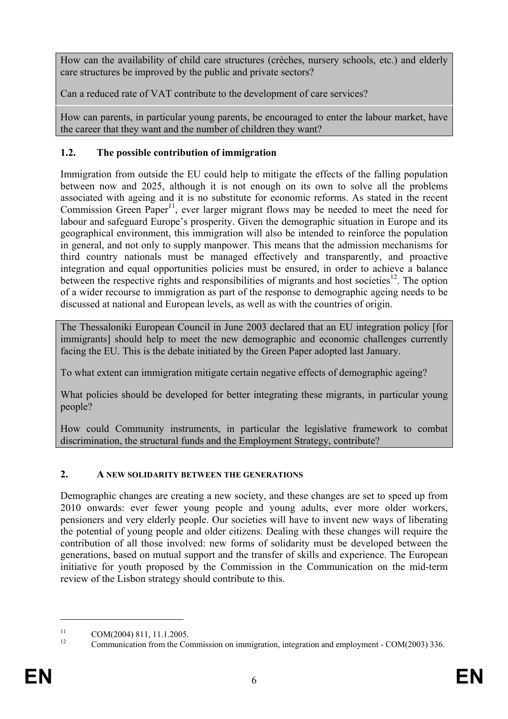How can the availability of child care structures (crèches, nursery schools, etc.) and elderly care structures be improved by the public and private sectors?

Can a reduced rate of VAT contribute to the development of care services?

How can parents, in particular young parents, be encouraged to enter the labour market, have the career that they want and the number of children they want?

## **1.2. The possible contribution of immigration**

Immigration from outside the EU could help to mitigate the effects of the falling population between now and 2025, although it is not enough on its own to solve all the problems associated with ageing and it is no substitute for economic reforms. As stated in the recent Commission Green Paper<sup>11</sup>, ever larger migrant flows may be needed to meet the need for labour and safeguard Europe's prosperity. Given the demographic situation in Europe and its geographical environment, this immigration will also be intended to reinforce the population in general, and not only to supply manpower. This means that the admission mechanisms for third country nationals must be managed effectively and transparently, and proactive integration and equal opportunities policies must be ensured, in order to achieve a balance between the respective rights and responsibilities of migrants and host societies<sup>12</sup>. The option of a wider recourse to immigration as part of the response to demographic ageing needs to be discussed at national and European levels, as well as with the countries of origin.

The Thessaloniki European Council in June 2003 declared that an EU integration policy [for immigrants] should help to meet the new demographic and economic challenges currently facing the EU. This is the debate initiated by the Green Paper adopted last January.

To what extent can immigration mitigate certain negative effects of demographic ageing?

What policies should be developed for better integrating these migrants, in particular young people?

How could Community instruments, in particular the legislative framework to combat discrimination, the structural funds and the Employment Strategy, contribute?

## **2. A NEW SOLIDARITY BETWEEN THE GENERATIONS**

Demographic changes are creating a new society, and these changes are set to speed up from 2010 onwards: ever fewer young people and young adults, ever more older workers, pensioners and very elderly people. Our societies will have to invent new ways of liberating the potential of young people and older citizens. Dealing with these changes will require the contribution of all those involved: new forms of solidarity must be developed between the generations, based on mutual support and the transfer of skills and experience. The European initiative for youth proposed by the Commission in the Communication on the mid-term review of the Lisbon strategy should contribute to this.

1

<sup>&</sup>lt;sup>11</sup> COM(2004) 811, 11.1.2005.

<sup>12</sup> Communication from the Commission on immigration, integration and employment - COM(2003) 336.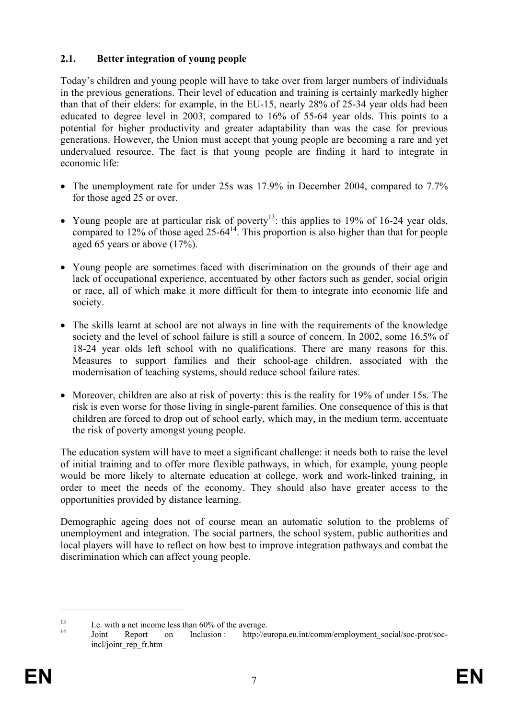## **2.1. Better integration of young people**

Today's children and young people will have to take over from larger numbers of individuals in the previous generations. Their level of education and training is certainly markedly higher than that of their elders: for example, in the EU-15, nearly 28% of 25-34 year olds had been educated to degree level in 2003, compared to 16% of 55-64 year olds. This points to a potential for higher productivity and greater adaptability than was the case for previous generations. However, the Union must accept that young people are becoming a rare and yet undervalued resource. The fact is that young people are finding it hard to integrate in economic life:

- The unemployment rate for under 25s was 17.9% in December 2004, compared to 7.7% for those aged 25 or over.
- Young people are at particular risk of poverty<sup>13</sup>: this applies to 19% of 16-24 year olds, compared to 12% of those aged 25-64 $14$ . This proportion is also higher than that for people aged 65 years or above (17%).
- Young people are sometimes faced with discrimination on the grounds of their age and lack of occupational experience, accentuated by other factors such as gender, social origin or race, all of which make it more difficult for them to integrate into economic life and society.
- The skills learnt at school are not always in line with the requirements of the knowledge society and the level of school failure is still a source of concern. In 2002, some 16.5% of 18-24 year olds left school with no qualifications. There are many reasons for this. Measures to support families and their school-age children, associated with the modernisation of teaching systems, should reduce school failure rates.
- Moreover, children are also at risk of poverty: this is the reality for 19% of under 15s. The risk is even worse for those living in single-parent families. One consequence of this is that children are forced to drop out of school early, which may, in the medium term, accentuate the risk of poverty amongst young people.

The education system will have to meet a significant challenge: it needs both to raise the level of initial training and to offer more flexible pathways, in which, for example, young people would be more likely to alternate education at college, work and work-linked training, in order to meet the needs of the economy. They should also have greater access to the opportunities provided by distance learning.

Demographic ageing does not of course mean an automatic solution to the problems of unemployment and integration. The social partners, the school system, public authorities and local players will have to reflect on how best to improve integration pathways and combat the discrimination which can affect young people.

<u>.</u>

<sup>&</sup>lt;sup>13</sup> I.e. with a net income less than  $60\%$  of the average.

Joint Report on Inclusion : http://europa.eu.int/comm/employment\_social/soc-prot/socincl/joint\_rep\_fr.htm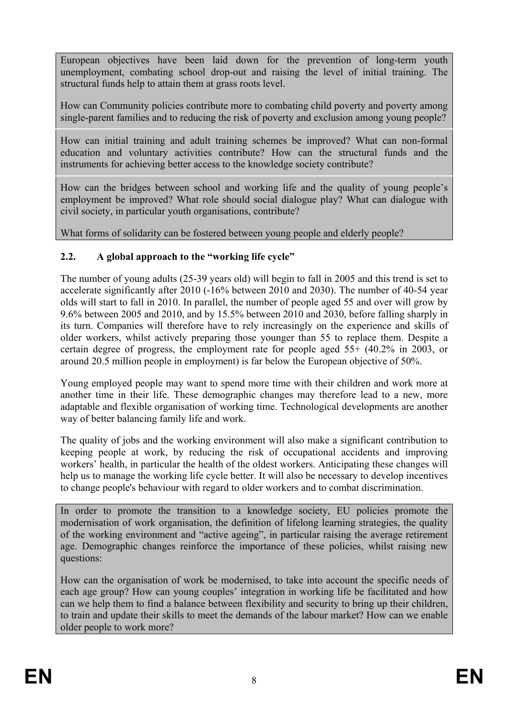European objectives have been laid down for the prevention of long-term youth unemployment, combating school drop-out and raising the level of initial training. The structural funds help to attain them at grass roots level.

How can Community policies contribute more to combating child poverty and poverty among single-parent families and to reducing the risk of poverty and exclusion among young people?

How can initial training and adult training schemes be improved? What can non-formal education and voluntary activities contribute? How can the structural funds and the instruments for achieving better access to the knowledge society contribute?

How can the bridges between school and working life and the quality of young people's employment be improved? What role should social dialogue play? What can dialogue with civil society, in particular youth organisations, contribute?

What forms of solidarity can be fostered between young people and elderly people?

# **2.2. A global approach to the "working life cycle"**

The number of young adults (25-39 years old) will begin to fall in 2005 and this trend is set to accelerate significantly after 2010 (-16% between 2010 and 2030). The number of 40-54 year olds will start to fall in 2010. In parallel, the number of people aged 55 and over will grow by 9.6% between 2005 and 2010, and by 15.5% between 2010 and 2030, before falling sharply in its turn. Companies will therefore have to rely increasingly on the experience and skills of older workers, whilst actively preparing those younger than 55 to replace them. Despite a certain degree of progress, the employment rate for people aged 55+ (40.2% in 2003, or around 20.5 million people in employment) is far below the European objective of 50%.

Young employed people may want to spend more time with their children and work more at another time in their life. These demographic changes may therefore lead to a new, more adaptable and flexible organisation of working time. Technological developments are another way of better balancing family life and work.

The quality of jobs and the working environment will also make a significant contribution to keeping people at work, by reducing the risk of occupational accidents and improving workers' health, in particular the health of the oldest workers. Anticipating these changes will help us to manage the working life cycle better. It will also be necessary to develop incentives to change people's behaviour with regard to older workers and to combat discrimination.

In order to promote the transition to a knowledge society, EU policies promote the modernisation of work organisation, the definition of lifelong learning strategies, the quality of the working environment and "active ageing", in particular raising the average retirement age. Demographic changes reinforce the importance of these policies, whilst raising new questions:

How can the organisation of work be modernised, to take into account the specific needs of each age group? How can young couples' integration in working life be facilitated and how can we help them to find a balance between flexibility and security to bring up their children, to train and update their skills to meet the demands of the labour market? How can we enable older people to work more?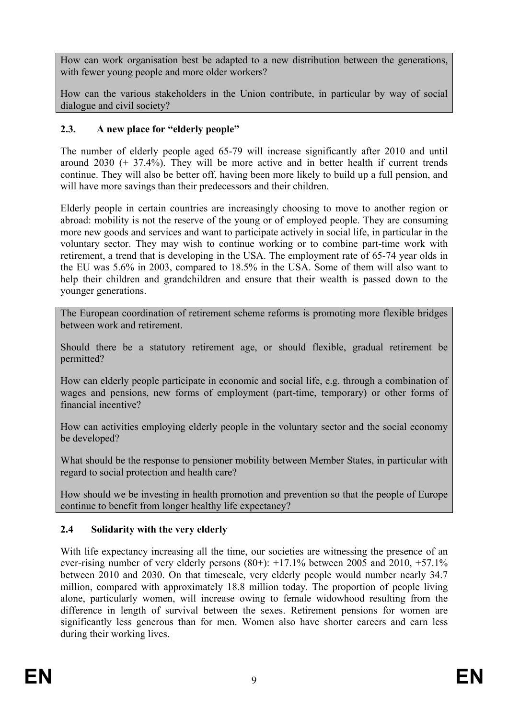How can work organisation best be adapted to a new distribution between the generations, with fewer young people and more older workers?

How can the various stakeholders in the Union contribute, in particular by way of social dialogue and civil society?

## **2.3. A new place for "elderly people"**

The number of elderly people aged 65-79 will increase significantly after 2010 and until around 2030 (+ 37.4%). They will be more active and in better health if current trends continue. They will also be better off, having been more likely to build up a full pension, and will have more savings than their predecessors and their children.

Elderly people in certain countries are increasingly choosing to move to another region or abroad: mobility is not the reserve of the young or of employed people. They are consuming more new goods and services and want to participate actively in social life, in particular in the voluntary sector. They may wish to continue working or to combine part-time work with retirement, a trend that is developing in the USA. The employment rate of 65-74 year olds in the EU was 5.6% in 2003, compared to 18.5% in the USA. Some of them will also want to help their children and grandchildren and ensure that their wealth is passed down to the younger generations.

The European coordination of retirement scheme reforms is promoting more flexible bridges between work and retirement.

Should there be a statutory retirement age, or should flexible, gradual retirement be permitted?

How can elderly people participate in economic and social life, e.g. through a combination of wages and pensions, new forms of employment (part-time, temporary) or other forms of financial incentive?

How can activities employing elderly people in the voluntary sector and the social economy be developed?

What should be the response to pensioner mobility between Member States, in particular with regard to social protection and health care?

How should we be investing in health promotion and prevention so that the people of Europe continue to benefit from longer healthy life expectancy?

## **2.4 Solidarity with the very elderly**

With life expectancy increasing all the time, our societies are witnessing the presence of an ever-rising number of very elderly persons  $(80+)$ :  $+17.1\%$  between 2005 and 2010,  $+57.1\%$ between 2010 and 2030. On that timescale, very elderly people would number nearly 34.7 million, compared with approximately 18.8 million today. The proportion of people living alone, particularly women, will increase owing to female widowhood resulting from the difference in length of survival between the sexes. Retirement pensions for women are significantly less generous than for men. Women also have shorter careers and earn less during their working lives.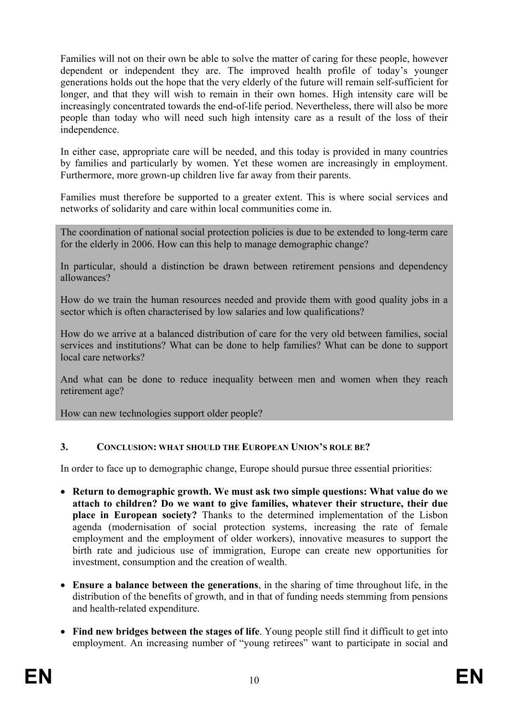Families will not on their own be able to solve the matter of caring for these people, however dependent or independent they are. The improved health profile of today's younger generations holds out the hope that the very elderly of the future will remain self-sufficient for longer, and that they will wish to remain in their own homes. High intensity care will be increasingly concentrated towards the end-of-life period. Nevertheless, there will also be more people than today who will need such high intensity care as a result of the loss of their independence.

In either case, appropriate care will be needed, and this today is provided in many countries by families and particularly by women. Yet these women are increasingly in employment. Furthermore, more grown-up children live far away from their parents.

Families must therefore be supported to a greater extent. This is where social services and networks of solidarity and care within local communities come in.

The coordination of national social protection policies is due to be extended to long-term care for the elderly in 2006. How can this help to manage demographic change?

In particular, should a distinction be drawn between retirement pensions and dependency allowances?

How do we train the human resources needed and provide them with good quality jobs in a sector which is often characterised by low salaries and low qualifications?

How do we arrive at a balanced distribution of care for the very old between families, social services and institutions? What can be done to help families? What can be done to support local care networks?

And what can be done to reduce inequality between men and women when they reach retirement age?

How can new technologies support older people?

### **3. CONCLUSION: WHAT SHOULD THE EUROPEAN UNION'S ROLE BE?**

In order to face up to demographic change, Europe should pursue three essential priorities:

- **Return to demographic growth. We must ask two simple questions: What value do we attach to children? Do we want to give families, whatever their structure, their due place in European society?** Thanks to the determined implementation of the Lisbon agenda (modernisation of social protection systems, increasing the rate of female employment and the employment of older workers), innovative measures to support the birth rate and judicious use of immigration, Europe can create new opportunities for investment, consumption and the creation of wealth.
- **Ensure a balance between the generations**, in the sharing of time throughout life, in the distribution of the benefits of growth, and in that of funding needs stemming from pensions and health-related expenditure.
- **Find new bridges between the stages of life**. Young people still find it difficult to get into employment. An increasing number of "young retirees" want to participate in social and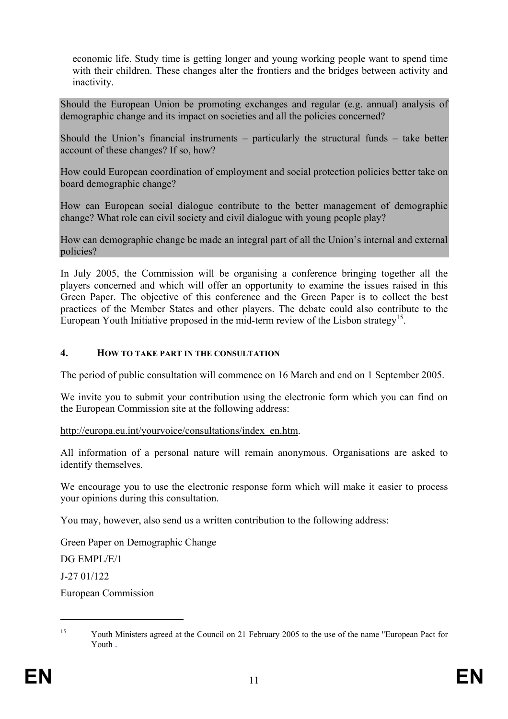economic life. Study time is getting longer and young working people want to spend time with their children. These changes alter the frontiers and the bridges between activity and inactivity.

Should the European Union be promoting exchanges and regular (e.g. annual) analysis of demographic change and its impact on societies and all the policies concerned?

Should the Union's financial instruments – particularly the structural funds – take better account of these changes? If so, how?

How could European coordination of employment and social protection policies better take on board demographic change?

How can European social dialogue contribute to the better management of demographic change? What role can civil society and civil dialogue with young people play?

How can demographic change be made an integral part of all the Union's internal and external policies?

In July 2005, the Commission will be organising a conference bringing together all the players concerned and which will offer an opportunity to examine the issues raised in this Green Paper. The objective of this conference and the Green Paper is to collect the best practices of the Member States and other players. The debate could also contribute to the European Youth Initiative proposed in the mid-term review of the Lisbon strategy<sup>15</sup>.

#### **4. HOW TO TAKE PART IN THE CONSULTATION**

The period of public consultation will commence on 16 March and end on 1 September 2005.

We invite you to submit your contribution using the electronic form which you can find on the European Commission site at the following address:

http://europa.eu.int/yourvoice/consultations/index\_en.htm.

All information of a personal nature will remain anonymous. Organisations are asked to identify themselves.

We encourage you to use the electronic response form which will make it easier to process your opinions during this consultation.

You may, however, also send us a written contribution to the following address:

Green Paper on Demographic Change

DG EMPL/E/1

J-27 01/122

1

European Commission

<sup>&</sup>lt;sup>15</sup> Youth Ministers agreed at the Council on 21 February 2005 to the use of the name "European Pact for Youth .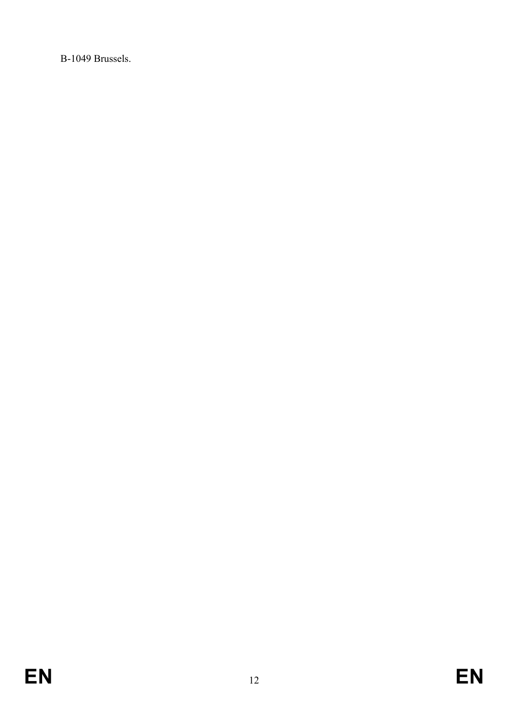B-1049 Brussels.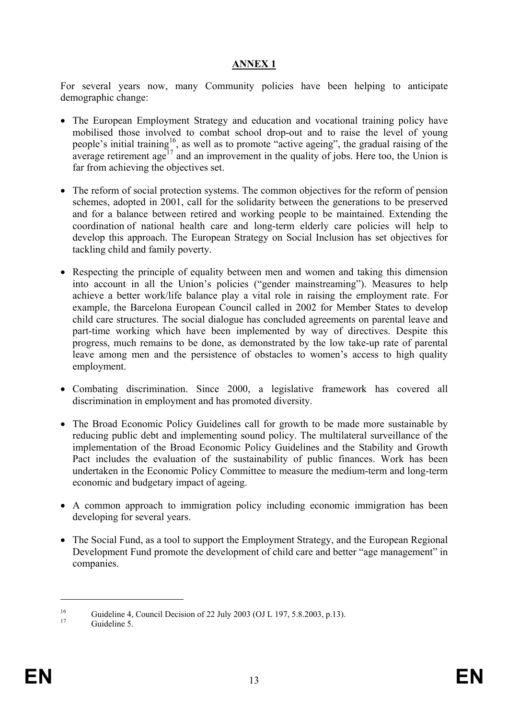## **ANNEX 1**

For several years now, many Community policies have been helping to anticipate demographic change:

- The European Employment Strategy and education and vocational training policy have mobilised those involved to combat school drop-out and to raise the level of young people's initial training<sup>16</sup>, as well as to promote "active ageing", the gradual raising of the average retirement age<sup> $17$ </sup> and an improvement in the quality of jobs. Here too, the Union is far from achieving the objectives set.
- The reform of social protection systems. The common objectives for the reform of pension schemes, adopted in 2001, call for the solidarity between the generations to be preserved and for a balance between retired and working people to be maintained. Extending the coordination of national health care and long-term elderly care policies will help to develop this approach. The European Strategy on Social Inclusion has set objectives for tackling child and family poverty.
- Respecting the principle of equality between men and women and taking this dimension into account in all the Union's policies ("gender mainstreaming"). Measures to help achieve a better work/life balance play a vital role in raising the employment rate. For example, the Barcelona European Council called in 2002 for Member States to develop child care structures. The social dialogue has concluded agreements on parental leave and part-time working which have been implemented by way of directives. Despite this progress, much remains to be done, as demonstrated by the low take-up rate of parental leave among men and the persistence of obstacles to women's access to high quality employment.
- Combating discrimination. Since 2000, a legislative framework has covered all discrimination in employment and has promoted diversity.
- The Broad Economic Policy Guidelines call for growth to be made more sustainable by reducing public debt and implementing sound policy. The multilateral surveillance of the implementation of the Broad Economic Policy Guidelines and the Stability and Growth Pact includes the evaluation of the sustainability of public finances. Work has been undertaken in the Economic Policy Committee to measure the medium-term and long-term economic and budgetary impact of ageing.
- A common approach to immigration policy including economic immigration has been developing for several years.
- The Social Fund, as a tool to support the Employment Strategy, and the European Regional Development Fund promote the development of child care and better "age management" in companies.

 $\overline{a}$ 

<sup>&</sup>lt;sup>16</sup> Guideline 4, Council Decision of 22 July 2003 (OJ L 197, 5.8.2003, p.13).

Guideline 5.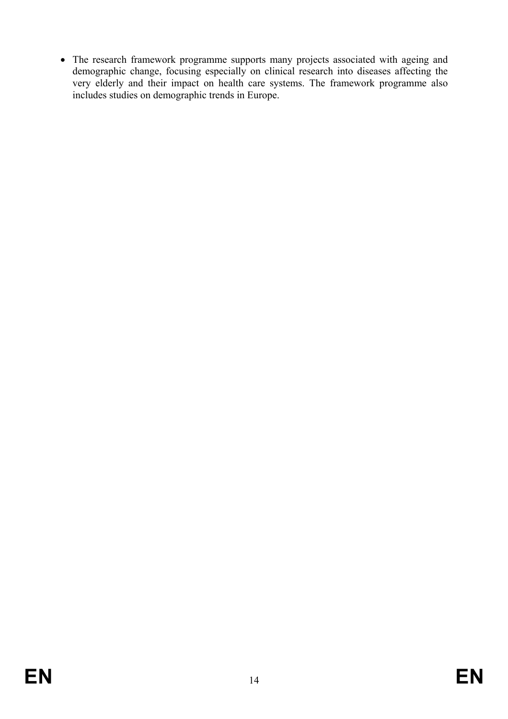• The research framework programme supports many projects associated with ageing and demographic change, focusing especially on clinical research into diseases affecting the very elderly and their impact on health care systems. The framework programme also includes studies on demographic trends in Europe.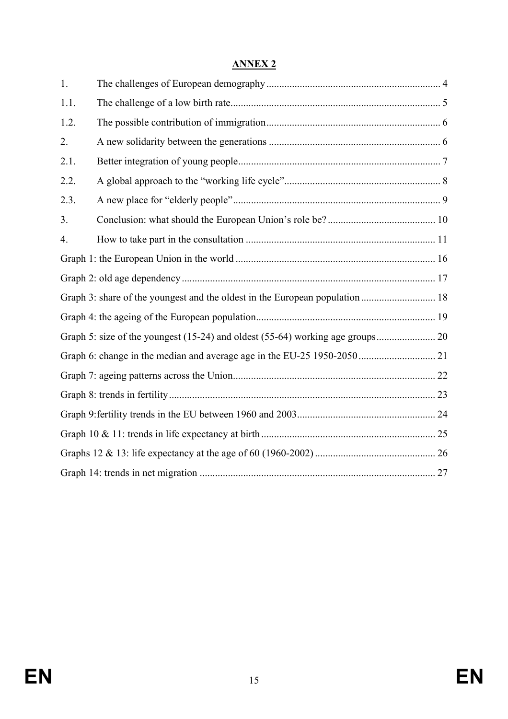| NNI.<br>۲. |
|------------|
|------------|

| 1.             |  |
|----------------|--|
| 1.1.           |  |
| 1.2.           |  |
| 2.             |  |
| 2.1.           |  |
| 2.2.           |  |
| 2.3.           |  |
| 3 <sub>1</sub> |  |
| 4.             |  |
|                |  |
|                |  |
|                |  |
|                |  |
|                |  |
|                |  |
|                |  |
|                |  |
|                |  |
|                |  |
|                |  |
|                |  |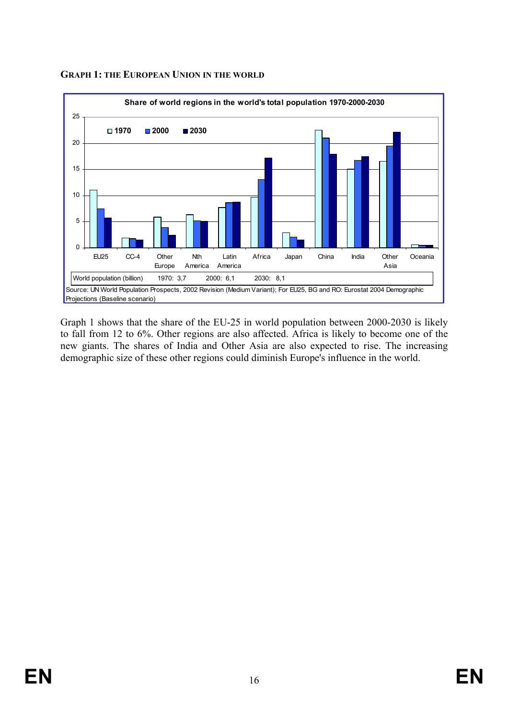

### **GRAPH 1: THE EUROPEAN UNION IN THE WORLD**

Graph 1 shows that the share of the EU-25 in world population between 2000-2030 is likely to fall from 12 to 6%. Other regions are also affected. Africa is likely to become one of the new giants. The shares of India and Other Asia are also expected to rise. The increasing demographic size of these other regions could diminish Europe's influence in the world.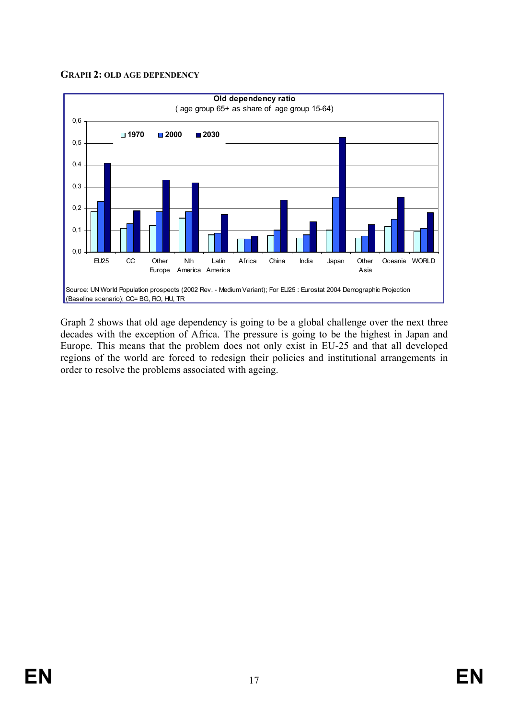#### **GRAPH 2: OLD AGE DEPENDENCY**



Graph 2 shows that old age dependency is going to be a global challenge over the next three decades with the exception of Africa. The pressure is going to be the highest in Japan and Europe. This means that the problem does not only exist in EU-25 and that all developed regions of the world are forced to redesign their policies and institutional arrangements in order to resolve the problems associated with ageing.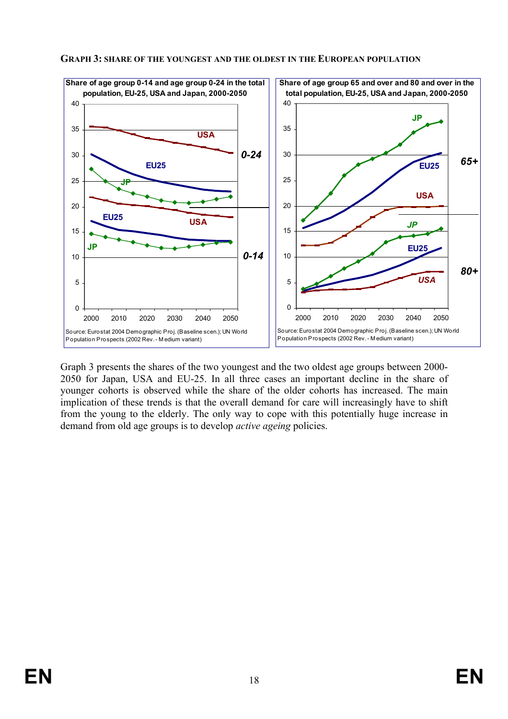



Graph 3 presents the shares of the two youngest and the two oldest age groups between 2000- 2050 for Japan, USA and EU-25. In all three cases an important decline in the share of younger cohorts is observed while the share of the older cohorts has increased. The main implication of these trends is that the overall demand for care will increasingly have to shift from the young to the elderly. The only way to cope with this potentially huge increase in demand from old age groups is to develop *active ageing* policies.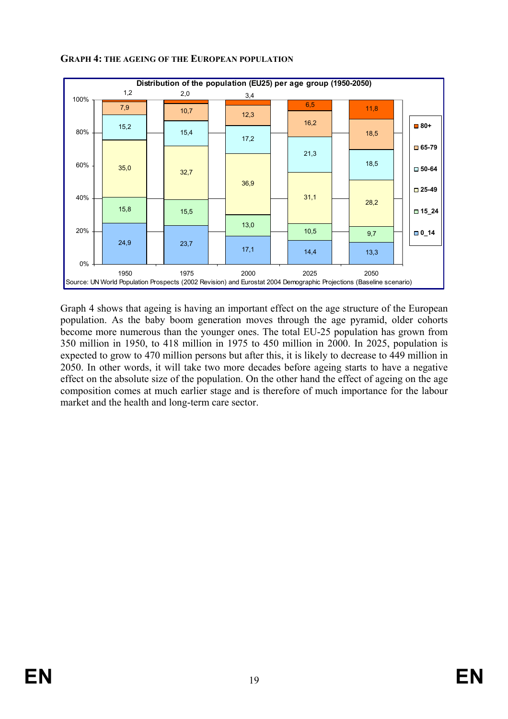

#### **GRAPH 4: THE AGEING OF THE EUROPEAN POPULATION**

Graph 4 shows that ageing is having an important effect on the age structure of the European population. As the baby boom generation moves through the age pyramid, older cohorts become more numerous than the younger ones. The total EU-25 population has grown from 350 million in 1950, to 418 million in 1975 to 450 million in 2000. In 2025, population is expected to grow to 470 million persons but after this, it is likely to decrease to 449 million in 2050. In other words, it will take two more decades before ageing starts to have a negative effect on the absolute size of the population. On the other hand the effect of ageing on the age composition comes at much earlier stage and is therefore of much importance for the labour market and the health and long-term care sector.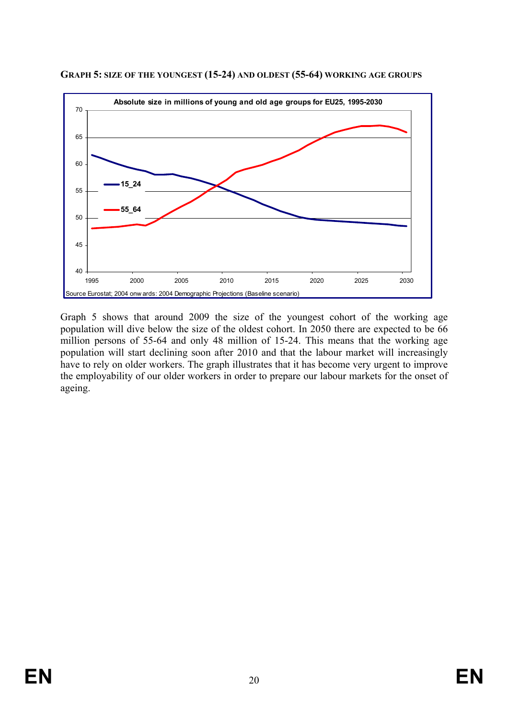

**GRAPH 5: SIZE OF THE YOUNGEST (15-24) AND OLDEST (55-64) WORKING AGE GROUPS**

Graph 5 shows that around 2009 the size of the youngest cohort of the working age population will dive below the size of the oldest cohort. In 2050 there are expected to be 66 million persons of 55-64 and only 48 million of 15-24. This means that the working age population will start declining soon after 2010 and that the labour market will increasingly have to rely on older workers. The graph illustrates that it has become very urgent to improve the employability of our older workers in order to prepare our labour markets for the onset of ageing.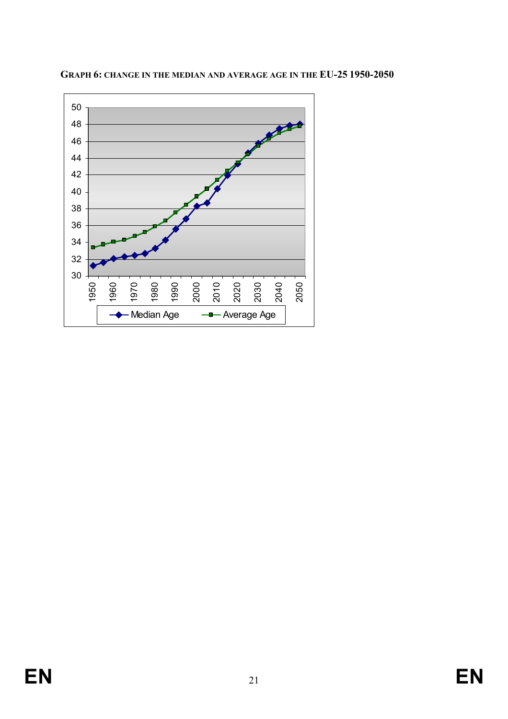

**GRAPH 6: CHANGE IN THE MEDIAN AND AVERAGE AGE IN THE EU-25 1950-2050**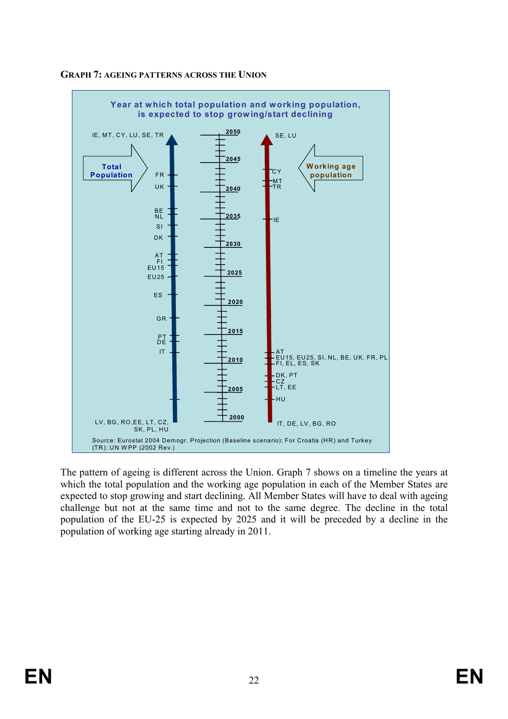

### **GRAPH 7: AGEING PATTERNS ACROSS THE UNION**

The pattern of ageing is different across the Union. Graph 7 shows on a timeline the years at which the total population and the working age population in each of the Member States are expected to stop growing and start declining. All Member States will have to deal with ageing challenge but not at the same time and not to the same degree. The decline in the total population of the EU-25 is expected by 2025 and it will be preceded by a decline in the population of working age starting already in 2011.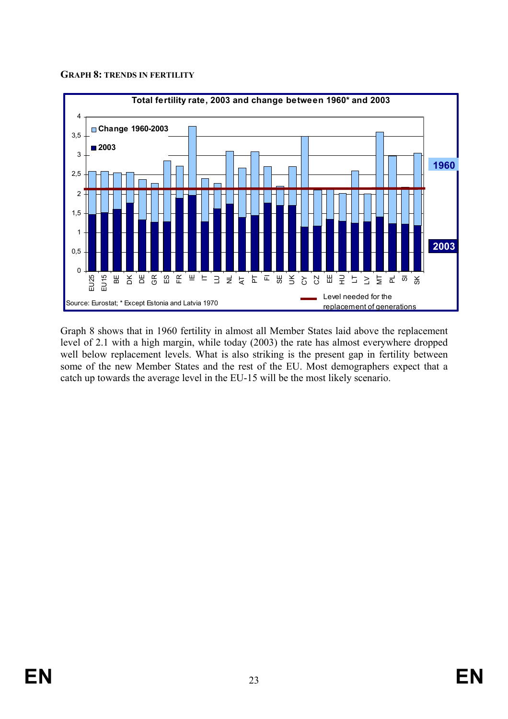#### **GRAPH 8: TRENDS IN FERTILITY**



Graph 8 shows that in 1960 fertility in almost all Member States laid above the replacement level of 2.1 with a high margin, while today (2003) the rate has almost everywhere dropped well below replacement levels. What is also striking is the present gap in fertility between some of the new Member States and the rest of the EU. Most demographers expect that a catch up towards the average level in the EU-15 will be the most likely scenario.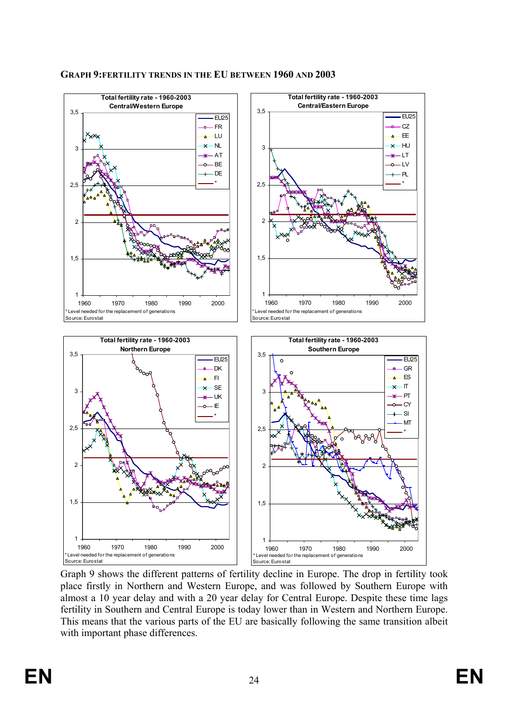

**GRAPH 9:FERTILITY TRENDS IN THE EU BETWEEN 1960 AND 2003** 

Graph 9 shows the different patterns of fertility decline in Europe. The drop in fertility took place firstly in Northern and Western Europe, and was followed by Southern Europe with almost a 10 year delay and with a 20 year delay for Central Europe. Despite these time lags fertility in Southern and Central Europe is today lower than in Western and Northern Europe. This means that the various parts of the EU are basically following the same transition albeit with important phase differences.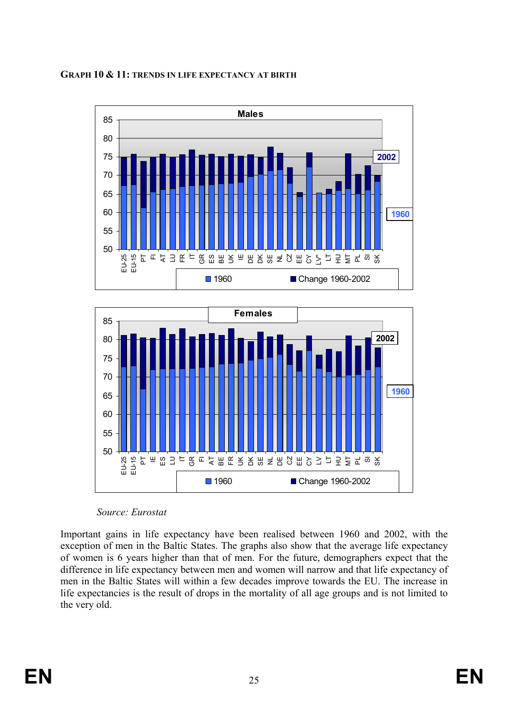





*Source: Eurostat* 

Important gains in life expectancy have been realised between 1960 and 2002, with the exception of men in the Baltic States. The graphs also show that the average life expectancy of women is 6 years higher than that of men. For the future, demographers expect that the difference in life expectancy between men and women will narrow and that life expectancy of men in the Baltic States will within a few decades improve towards the EU. The increase in life expectancies is the result of drops in the mortality of all age groups and is not limited to the very old.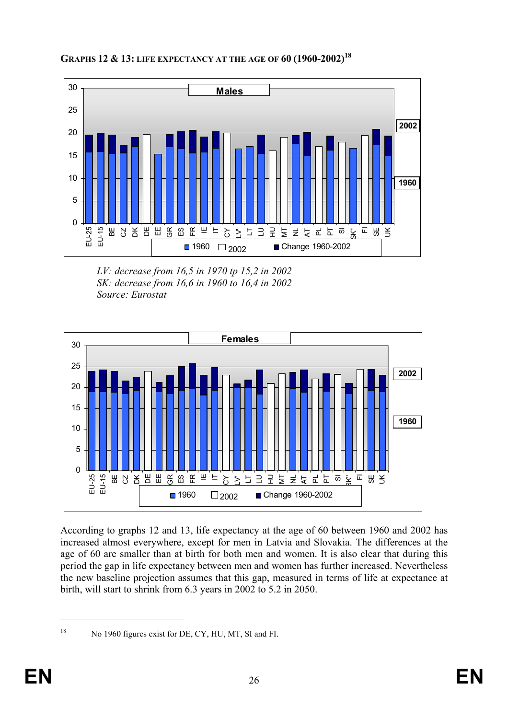



*LV: decrease from 16,5 in 1970 tp 15,2 in 2002 SK: decrease from 16,6 in 1960 to 16,4 in 2002 Source: Eurostat* 



According to graphs 12 and 13, life expectancy at the age of 60 between 1960 and 2002 has increased almost everywhere, except for men in Latvia and Slovakia. The differences at the age of 60 are smaller than at birth for both men and women. It is also clear that during this period the gap in life expectancy between men and women has further increased. Nevertheless the new baseline projection assumes that this gap, measured in terms of life at expectance at birth, will start to shrink from 6.3 years in 2002 to 5.2 in 2050.

1

<sup>&</sup>lt;sup>18</sup> No 1960 figures exist for DE, CY, HU, MT, SI and FI.